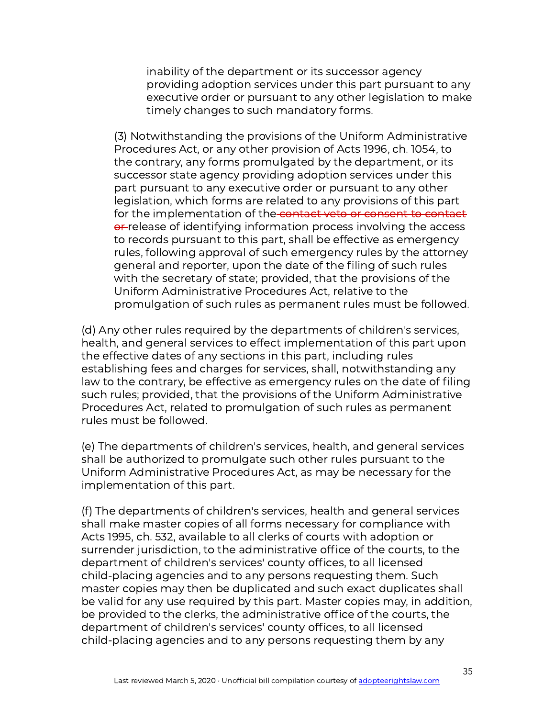inability of the department or its successor agency providing adoption services under this part pursuant to any executive order or pursuant to any other legislation to make timely changes to such mandatory forms.

(3) Notwithstanding the provisions of the Uniform Administrative Procedures Act, or any other provision of Acts 1996, ch. 1054, to the contrary, any forms promulgated by the department, or its successor state agency providing adoption services under this part pursuant to any executive order or pursuant to any other legislation, which forms are related to any provisions of this part for the implementation of the contact veto or consent to contact or release of identifying information process involving the access to records pursuant to this part, shall be effective as emergency rules, following approval of such emergency rules by the attorney general and reporter, upon the date of the filing of such rules with the secretary of state; provided, that the provisions of the Uniform Administrative Procedures Act, relative to the promulgation of such rules as permanent rules must be followed.

(d) Any other rules required by the departments of children's services, health, and general services to effect implementation of this part upon the effective dates of any sections in this part, including rules establishing fees and charges for services, shall, notwithstanding any law to the contrary, be effective as emergency rules on the date of filing such rules; provided, that the provisions of the Uniform Administrative Procedures Act, related to promulgation of such rules as permanent rules must be followed.

(e) The departments of children's services, health, and general services shall be authorized to promulgate such other rules pursuant to the Uniform Administrative Procedures Act, as may be necessary for the implementation of this part.

(f) The departments of children's services, health and general services shall make master copies of all forms necessary for compliance with Acts 1995, ch. 532, available to all clerks of courts with adoption or surrender jurisdiction, to the administrative office of the courts, to the department of children's services' county offices, to all licensed child-placing agencies and to any persons requesting them. Such master copies may then be duplicated and such exact duplicates shall be valid for any use required by this part. Master copies may, in addition, be provided to the clerks, the administrative office of the courts, the department of children's services' county offices, to all licensed child-placing agencies and to any persons requesting them by any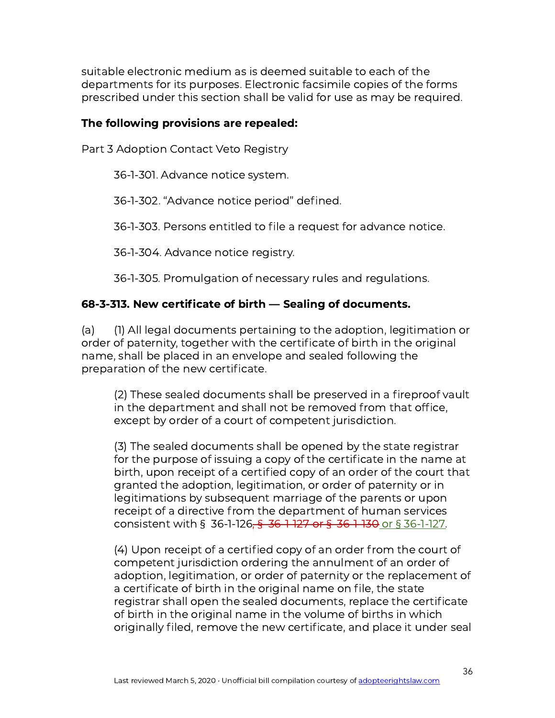suitable electronic medium as is deemed suitable to each of the departments for its purposes. Electronic facsimile copies of the forms prescribed under this section shall be valid for use as may be required.

## The following provisions are repealed:

Part 3 Adoption Contact Veto Registry

36-1-301. Advance notice system.

36-1-302. "Advance notice period" defined.

36-1-303. Persons entitled to file a request for advance notice.

36-1-304. Advance notice registry.

36-1-305. Promulgation of necessary rules and regulations.

## 68-3-313. New certificate of birth — Sealing of documents.

(a) (1) All legal documents pertaining to the adoption, legitimation or order of paternity, together with the certificate of birth in the original name, shall be placed in an envelope and sealed following the preparation of the new certificate.

(2) These sealed documents shall be preserved in a fireproof vault in the department and shall not be removed from that office, except by order of a court of competent jurisdiction.

(3) The sealed documents shall be opened by the state registrar for the purpose of issuing a copy of the certificate in the name at birth, upon receipt of a certified copy of an order of the court that granted the adoption, legitimation, or order of paternity or in legitimations by subsequent marriage of the parents or upon receipt of a directive from the department of human services consistent with § 36-1-126, § 36-1-127 or § 36-1-130 or § 36-1-127.

(4) Upon receipt of a certified copy of an order from the court of competent jurisdiction ordering the annulment of an order of adoption, legitimation, or order of paternity or the replacement of a certificate of birth in the original name on file, the state registrar shall open the sealed documents, replace the certificate of birth in the original name in the volume of births in which originally filed, remove the new certificate, and place it under seal